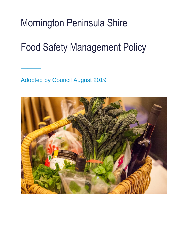# Mornington Peninsula Shire

# Food Safety Management Policy

Adopted by Council August 2019

 $\overline{\phantom{a}}$ 

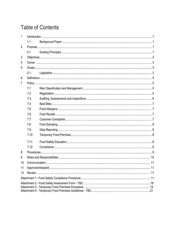# **Table of Contents**

| 1  |      |  |  |  |
|----|------|--|--|--|
|    | 1.1  |  |  |  |
| 2  |      |  |  |  |
|    | 2.1  |  |  |  |
| 3  |      |  |  |  |
| 4  |      |  |  |  |
| 5  |      |  |  |  |
|    | 5.1. |  |  |  |
| 6  |      |  |  |  |
| 7  |      |  |  |  |
|    | 7.1  |  |  |  |
|    | 7.2  |  |  |  |
|    | 7.3. |  |  |  |
|    | 7.4  |  |  |  |
|    | 7.5  |  |  |  |
|    | 7.6  |  |  |  |
|    | 7.7  |  |  |  |
|    | 7.8  |  |  |  |
|    | 7.9  |  |  |  |
|    | 7.10 |  |  |  |
|    | 7.11 |  |  |  |
|    | 7.12 |  |  |  |
| 8  |      |  |  |  |
| 9  |      |  |  |  |
| 10 |      |  |  |  |
| 11 |      |  |  |  |
| 12 |      |  |  |  |
|    |      |  |  |  |
|    |      |  |  |  |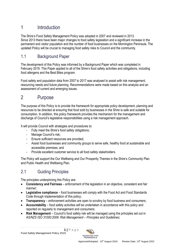# <span id="page-2-0"></span>1 Introduction

The Shire's Food Safety Management Policy was adopted in 2007 and reviewed in 2013. Since 2013 there have been major changes to food safety legislation and a significant increase in the permanent and visitor population and the number of food businesses on the Mornington Peninsula. The updated Policy will be crucial to managing food safety risks to Council and the community.

## <span id="page-2-1"></span>1.1 Background Paper

The development of this Policy was informed by a Background Paper which was completed in February 2019. This Paper applied to all of the Shire's food safety activities and obligations, including food allergens and the Best Bites program.

Food safety and population data from 2007 to 2017 was analysed to assist with risk management, resourcing needs and future planning. Recommendations were made based on this analysis and an assessment of current and emerging issues.

# <span id="page-2-2"></span>2 Purpose

The purpose of this Policy is to provide the framework for appropriate policy development, planning and resources to be directed at ensuring that food sold by businesses in the Shire is safe and suitable for consumption. In addition, this policy framework provides the mechanism for the management and discharge of Council's legislative responsibilities using a risk management approach.

It will provide Council with strategies and procedures to:

- Fully meet the Shire's food safety obligations;
- Manage Council's risk;
- Ensure sufficient resources are provided;
- Assist food businesses and community groups to serve safe, healthy food at sustainable and accessible premises; and
- Provide excellent customer service to all food safety stakeholders.

The Policy will support the Our Wellbeing and Our Prosperity Themes in the Shire's Community Plan and Public Health and Wellbeing Plan.

## <span id="page-2-3"></span>2.1 Guiding Principles

The principles underpinning this Policy are:

- **Consistency and Fairness** enforcement of the legislation in an objective, consistent and fair manner;
- **Legislative compliance**  food businesses will comply with the Food Act and Food Standards Code through implementation of this policy;
- **Transparency** enforcement activities are open to scrutiny by food business and consumers;
- **Accountability** food safety activities will be undertaken in accordance with this policy and reported on regularly to management and consumers;
- **Risk Management**  Council's food safety risk will be managed using the principles set out in *AS/NZS ISO 31000:2009: Risk Management – Principles and Guidelines*;

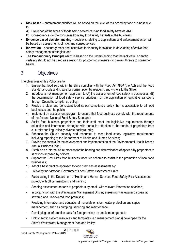- **Risk based** enforcement priorities will be based on the level of risk posed by food business due to:
	- A) Likelihood of the types of foods being served causing food safety hazards AND
	- B) Consequences to the consumer from any food safety hazards at the business;
- **Evidence based decision making** decisions relating to applications and enforcement action will be based on assessments of risks and consequences;
- **Innovation** encouragement and incentives for industry innovation in developing effective food safety management strategies; and
- **The Precautionary Principle** which is based on the understanding that the lack of full scientific certainty should not be used as a reason for postponing measures to prevent threats to consumer health.

# <span id="page-3-0"></span>3 Objectives

The objectives of this Policy are to:

- 1. Ensure that food sold within the Shire complies with the *Food Act 1984* (the Act) and the Food Standards Code and is safe for consumption by residents and visitors to the Shire;
- 2. Introduce a risk management approach to (A) the assessment of food safety in businesses; (B) the determination of food safety service priorities; (C) the application of legislative sanctions through Council's compliance policy;
- 3. Provide a clear and consistent food safety compliance policy that is accessible to all food businesses and the public
- 4. Implement an assessment program to ensure that food business comply with the requirements of the Act and National Food Safety Standards
- 5. Assist food business proprietors and their staff meet the legislative requirements through education and information strategies with particular attention to the needs of proprietors from culturally and linguistically diverse backgrounds;
- 6. Enhance the Shire's capacity and resources to meet food safety legislative requirements including reporting to the Department of Health and Human Services;
- 7. Provide the context for the development and implementation of the Environmental Health Team's Annual Business Plan;
- 8. Establish an internal Shire process for the hearing and determination of appeals by proprietors to sanctions imposed by officers;
- 9. Support the Best Bites food business incentive scheme to assist in the promotion of local food businesses;
- 10. Adopt a best practice approach to food premises assessments by:
- Following the Victorian Government Food Safety Assessment Guide;
- Participating in the Department of Health and Human Services Food Safety Risk Assessment project, with officer mentoring and training;
- Sending assessment reports to proprietors by email, with relevant information attached;
- In conjunction with the Wastewater Management Officer, assessing wastewater disposal at sewered and un-sewered food premises;
- Providing information and educational materials on storm water protection and septic management, such as pumping, servicing and maintenance;
- Developing an information pack for food premises on septic management;
- Link to septic system resources and templates (e.g management plans) developed for the Shire's Wastewater Management Plan and Policy;

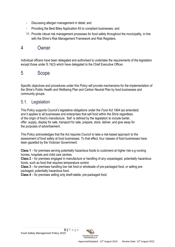- Discussing allergen management in detail; and
- Providing the Best Bites Application Kit to compliant businesses; and
- 11. Provide robust risk management processes for food safety throughout the municipality, in line with the Shire's Risk Management Framework and Risk Registers.

## <span id="page-4-0"></span>4 Owner

Individual officers have been delegated and authorised to undertake the requirements of the legislation except those under S.19(3) which have delegated to the Chief Executive Officer.

## <span id="page-4-1"></span>5 Scope

Specific objectives and procedures under this Policy will provide mechanisms for the implementation of the Shire's Public Health and Wellbeing Plan and Carbon Neutral Plan by food businesses and community groups.

#### <span id="page-4-2"></span>5.1. Legislation

This Policy supports Council's legislative obligations under the *Food Act 1984* (as amended) and it applies to all businesses and enterprises that sell food within the Shire regardless of the origin of food's manufacture. 'Sell' is defined by the legislation to include barter, offer, supply, display for sale, transport for sale, prepare, store, deliver, and give away for the purposes of advertisement.

This Policy acknowledges that the Act requires Council to take a risk-based approach to the assessment of food safety at food businesses. To that effect, four classes of food businesses have been gazetted by the Victorian Government:

**Class 1** – for premises serving potentially hazardous foods to customers at higher risk e.g nursing homes, hospitals and child care centres.

**Class 2** – for premises engaged in manufacture or handling of any unpackaged, potentially hazardous foods, such as food that requires temperature control.

**Class 3** – for premises handling low risk food or wholesale of pre-packaged food, or selling prepackaged, potentially hazardous food.

**Class 4** – for premises selling only shelf-stable, pre-packaged food.

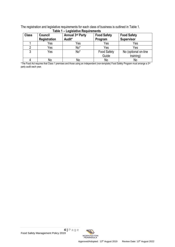The registration and legislative requirements for each class of business is outlined in Table 1. **Table 1 – Legislative Requirements**

| <u> TANIC T – LCYISIALIVE REYULICITIENIS</u> |                |                         |                    |                      |
|----------------------------------------------|----------------|-------------------------|--------------------|----------------------|
| <b>Class</b>                                 | <b>Council</b> | <b>Annual 3rd Party</b> | <b>Food Safety</b> | <b>Food Safety</b>   |
|                                              | Registration   | Audit*                  | Program            | <b>Supervisor</b>    |
|                                              | Yes            | Yes                     | Yes                | Yes                  |
|                                              | Yes            | No*                     | Yes                | Yes                  |
| 3                                            | Yes            | No*                     | <b>Food Safety</b> | No (optional on-line |
|                                              |                |                         | Guide              | training)            |
|                                              | No             | No                      | No                 | No                   |

\*The Food Act requires that Class 1 premises and those using an independent (non-template) Food Safety Program must arrange a 3rd party audit each year.

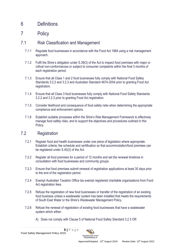# <span id="page-6-0"></span>6 Definitions

# <span id="page-6-1"></span>7 Policy

### 7.1 Risk Classification and Management

- <span id="page-6-3"></span><span id="page-6-2"></span>7.1.1 Regulate food businesses in accordance with the Food Act 1984 using a risk management approach.
- 7.1.2 Fulfil the Shire's obligation under S.39(3) of the Act to inspect food premises with major or critical non-conformances or subject to consumer complaints within the final 3 months of each registration period.
- <span id="page-6-4"></span>7.1.3 Ensure that all Class 1 and 2 food businesses fully comply with National Food Safety Standards 3.2.2 and 3.2.3 and Australian Standard 4674-2004 prior to granting Food Act registration.
- <span id="page-6-5"></span>7.1.4 Ensure that all Class 3 food businesses fully comply with National Food Safety Standards 3.2.2 and 3.2.3 prior to granting Food Act registration.
- <span id="page-6-6"></span>7.1.5 Consider likelihood and consequence of food safety risks when determining the appropriate compliance and enforcement options.
- <span id="page-6-7"></span>7.1.6 Establish suitable processes within the Shire's Risk Management Framework to effectively manage food safety risks, and to support the objectives and procedures outlined in this Policy.

#### <span id="page-6-8"></span>7.2 Registration

- <span id="page-6-9"></span>7.2.1 Register food and health businesses under one piece of legislation where appropriate. Establish criteria, fee schedule and certification so that accommodation/food premises can be registered under S.40(2) of the Act.
- <span id="page-6-10"></span>7.2.2 Register all food premises for a period of 12 months and set the renewal timelines in consultation with food businesses and community groups.
- <span id="page-6-11"></span>7.2.3 Ensure that food premises submit renewal of registration applications at least 30 days prior to the end of the registration period.
- <span id="page-6-12"></span>7.2.4 Exempt Australian Taxation Office tax exempt registered charitable organisations from Food Act registration fees.
- 7.2.5 Refuse the registration of new food businesses or transfer of the registration of an existing food business unless a wastewater system has been installed that meets the requirements of South East Water or the Shire's Wastewater Management Policy.
- 7.2.6 Refuse the renewal of registration of existing food businesses that have a wastewater system which either:
	- A) Does not comply with Clause 5 of National Food Safety Standard 3.2.3 OR

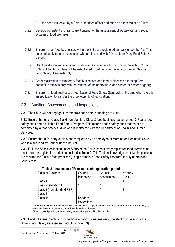- B) Has been inspected by a Shire authorised officer and rated as either Major or Critical.
- 7.2.7 Develop consistent and transparent criteria for the assessment of wastewater and septic systems at food premises.
- 7.2.8 Ensure that all food businesses within the Shire are registered annually under the Act. This does not apply to food businesses who are licensed with Primesafe or Dairy Food Safety Victoria.
- 7.2.9 Grant conditional renewal of registration for a maximum of 3 months in line with S.38E and S.39D of the Act. Criteria will be established to define minor defects (or use for National Food Safety Standards only);
- 7.2.10 Grant registration of temporary food businesses and food businesses operating from domestic premises only with the consent of the appropriate land owner (or owner's agent);
- 7.2.11 Ensure that food businesses meet National Food Safety Standards at the time when there is an application to transfer the proprietorship of registration.

#### 7.3. Auditing, Assessments and Inspections

7.3.1 The Shire will not engage in commercial food safety auditing activities.

7.3.2 Ensure that each Class 1 and non-standard Class 2 food business has an annual 3rd party food safety audit and a suitable Food Safety Program. This means a food safety audit that must be completed by a food safety auditor who is registered with the Department of Health and Human Services.

7.3.3 Ensure that a 3rd party audit is not completed by an employee of Mornington Peninsula Shire who is authorised by Council under the Act.

7.3.4 Fulfil the Shire's obligation under S.39A of the Act to inspect every registered food premises at least once per registration period as outlined in Table 2. This Table acknowledges that two inspections are required for Class 2 food premises (using a template Food Safety Program) to fully address the Shire's risks

| <b>Class of Business</b>   | Council     | Council    | 3 <sup>rd</sup> party |
|----------------------------|-------------|------------|-----------------------|
|                            | Inspection  | Assessment | Audit                 |
| Class 1                    |             |            |                       |
| Class 2 (standard FSP)     |             |            |                       |
| Class 2 (non-standard FSP) |             |            |                       |
| Class 3                    |             |            |                       |
| Class 4*                   | Random      |            |                       |
|                            | inspection* |            |                       |

#### **Table 2 - Inspection of Premises each registration period**

<sup>1</sup>Non-compliant and higher risk premises will be subject to a higher inspection frequency. Best Bites food premises may be subject to a lower inspection frequency. Refer Procedures Section

\* Class 4 notified premises to be randomly inspected as per the EPU Business Plan

7.3.5 Conduct assessments and inspections of food businesses using the electronic version of the Shire's Food Safety Assessment Tool (Attachment 3).

**6 |** P a g e Food Safety Management Policy 2019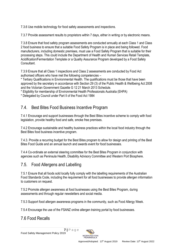7.3.6 Use mobile technology for food safety assessments and inspections.

7.3.7 Provide assessment results to proprietors within 7 days, either in writing or by electronic means.

7.3.8 Ensure that food safety program assessments are conducted annually at each Class 1 and Class 2 food business to ensure that a suitable Food Safety Program is in place and being followed. Food manufacturers, including domestic premises, must use a Food Safety Program that is suitable for their processing steps. This could include the Department of Health and Human Services Retail Template, Acidification/Fermentation Template or a Quality Assurance Program developed by a Food Safety **Consultant** 

7.3.9 Ensure that all Class 1 inspections and Class 2 assessments are conducted by Food Act authorised officers who have met the following competencies –

\* Tertiary Qualifications in Environmental Health. The qualifications must be those that have been approved by the secretary in accordance with Section 29 (3) of the Public Health & Wellbeing Act 2008 and the Victorian Government Gazette G 12 21 March 2013 Schedule.

\* Eligibility for membership of Environmental Health Professionals Australia (EHPA)

\* Delegated by Council under Part II of the Food Act 1984

## 7.4. Best Bites Food Business Incentive Program

7.4.1 Encourage and support businesses through the Best Bites incentive scheme to comply with food legislation, provide healthy food and safe, smoke free premises.

7.4.2 Encourage sustainable and healthy business practices within the local food industry through the Best Bites food business incentive program.

7.4.3. Provide a recurring budget for the Best Bites program to allow for design and printing of the Best Bites Food Guide and an annual launch and awards event for food businesses.

7.4.4 Co-ordinate an external steering committee for the Best Bites Program in conjunction with agencies such as Peninsula Health, Disability Advisory Committee and Western Port Biosphere.

#### 7.5. Food Allergens and Labelling

7.5.1 Ensure that all foods sold locally fully comply with the labelling requirements of the Australian Food Standards Code, including the requirement for all food businesses to provide allergen information to customers on request.

7.5.2 Promote allergen awareness at food businesses using the Best Bites Program, during assessments and through regular newsletters and social media.

7.5.3 Support food allergen awareness programs in the community, such as Food Allergy Week.

7.5.4 Encourage the use of the FSANZ online allergen training portal by food businesses.

## 7.6 Food Recalls

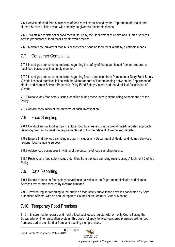7.6.1 Advise affected food businesses of food recall alerts issued by the Department of Health and Human Services. This advice will primarily be given via electronic means.

7.6.2. Maintain a register of all food recalls issued by the Department of Health and Human Services. Advise proprietors of food recalls by electronic means.

7.6.3 Maintain the privacy of food businesses when sending food recall alerts by electronic means.

## 7.7. Consumer Complaints

7.7.1 Investigate consumer complaints regarding the safety of foods purchased from or prepared at local food businesses in a timely manner.

7.7.2 Investigate consumer complaints regarding foods purchased from Primesafe or Dairy Food Safety Victoria licensed premises in line with the Memorandum of Understanding between the Department of Health and Human Servies, Primesafe, Dairy Food Safety Victoria and the Municipal Association of Victoria.

7.7.3 Resolve any food safety issues identified during these investigations using Attachment 2 of this Policy.

7.7.4 Advise consumers of the outcome of each investigation.

## 7.8. Food Sampling

7.8.1 Conduct annual food sampling at local food businesses using a co-ordinated, targeted approach. Sampling program to meet the requirements set out in the relevant Government Gazette.

7.8.2 Ensure that the food sampling program includes any Department of Health and Human Services regional food sampling surveys.

7.8.3 Advise food businesses in writing of the outcome of food sampling results.

7.8.4 Resolve any food safety issues identified from the food sampling results using Attachment 2 of this Policy.

## 7.9. Data Reporting

7.9.1 Submit reports on food safety surveillance activities to the Department of Health and Human Services every three months by electronic means.

7.9.2. Provide regular reporting to the public on food safety surveillance activities conducted by Shire authorised officers, with an annual report to Council at an Ordinary Council Meeting.

## 7.10. Temporary Food Premises

7.10.1 Ensure that temporary and mobile food businesses register with or notify Council using the Streatrader on-line registration system. This does not apply to fixed registered premises selling food from any part of their land or from land abutting their premises.



Food Safety Management Policy 2019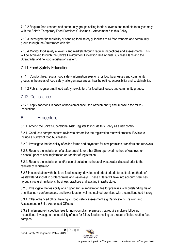7.10.2 Require food vendors and community groups selling foods at events and markets to fully comply with the Shire's Temporary Food Premises Guidelines – Attachment 5 to this Policy

7.10.3 Investigate the feasibility of sending food safety guidelines to all food vendors and community group through the Streatrader web site.

7.10.4 Monitor food safety at events and markets through regular inspections and assessments. This will be achieved through the Shire's Environment Protection Unit Annual Business Plans and the Streatrader on-line food registration system.

## 7.11 Food Safety Education

7.11.1 Conduct free, regular food safety information sessions for food businesses and community groups in the areas of food safety, allergen awareness, healthy eating, accessibility and sustainability.

7.11.2 Publish regular email food safety newsletters for food businesses and community groups.

### 7.12. Compliance

7.12.1 Apply sanctions in cases of non-compliance (see Attachment 2) and impose a fee for reinspections.

## <span id="page-10-0"></span>8 Procedure

8.1.1. Amend the Shire's Operational Risk Register to include this Policy as a risk control.

8.2.1. Conduct a comprehensive review to streamline the registration renewal process. Review to include a survey of food businesses.

8.2.2. Investigate the feasibility of online forms and payments for new premises, transfers and renewals.

8.2.3. Require the installation of a cleaners sink (or other Shire approved method of wastewater disposal) prior to new registration or transfer of registration.

8.2.4. Require the installation and/or use of suitable methods of wastewater disposal prior to the renewal of registration.

8.2.5 In consultation with the local food industry, develop and adopt criteria for suitable methods of wastewater disposal to protect drains and waterways. These criteria will take into account premises layout, structural limitations, business practices and existing infrastructure.

8.2.6. Investigate the feasibility of a higher annual registration fee for premises with outstanding major or critical non-conformances, and lower fees for well-maintained premises with a compliant food history.

8.3.1. Offer enhanced officer training for food safety assessment e.g Certificate IV Training and Assessment to Shire Authorised Officers.

8.3.2 Implement re-inspection fees for non-compliant premises that require multiple follow up inspections. Investigate the feasibility of fees for follow food sampling as a result of failed routine food samples.

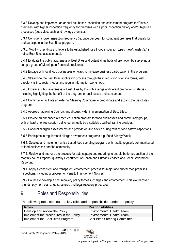8.3.3 Develop and implement an annual risk-based inspection and assessment program for Class 2 premises, with higher inspection frequency for premises with a poor inspection history and/or high risk processes (sous vide, sushi and raw egg premises).

8.3.4 Consider a lower inspection frequency (ie. once per year) for compliant premises that qualify for and participate in the Best Bites program.

8.3.5. Mobility checklists and letters to be established for all food inspection types (new/transfer/S.19 notice/Best Bites assessments).

8.4.1 Evaluate the public awareness of Best Bites and potential methods of promotion by surveying a sample group of Mornington Peninsula residents.

8.4.2 Engage with local food businesses on ways to increase business participation in the program.

8.4.3 Streamline the Best Bites application process through the introduction of online forms, web directory listing, social media, and regular information workshops.

8.4.3 Increase public awareness of Best Bites by through a range of different promotion strategies, including highlighting the benefit of the program for businesses and consumers.

8.4.4 Continue to facilitate an external Steering Committee to co-ordinate and expand the Best Bites program.

8.4.5 Approach adjoining Councils and discuss wider implementation of Best Bites.

8.5.1 Provide an enhanced allergen education program for food businesses and community groups, with at least one free session delivered annually by a suitably qualified training provider.

8.5.2 Conduct allergen assessments and provide on-site advice during routine food safety inspections.

8.5.3 Participate in regular food allergen awareness programs e.g. Food Allergy Week.

8.6.1. Develop and implement a risk-based food sampling program, with results regularly communicated to food businesses and the community.

8.7.1. Review and improve the process for data capture and reporting to enable better production of the monthly council reports, quarterly Department of Health and Human Services and Local Government Reporting.

8.9.1. Apply a consistent and transparent enforcement process for major and critical food premises inspections, including a process for Penalty Infringement Notices.

8.9.2 Council to develop a cost recovery policy for fees, charges and enforcement. This would cover refunds, payment plans, fee structures and legal recovery processes.

# <span id="page-11-0"></span>9 Roles and Responsibilities

The following table sets out the key roles and responsibilities under the policy:

| <b>Roles</b>                           | <b>Responsibilities</b>              |
|----------------------------------------|--------------------------------------|
| Develop and review the Policy          | <b>Environmental Health Team</b>     |
| Implement the procedures in the Policy | <b>Environmental Health Team</b>     |
| Implement the Best Bites Program       | <b>Best Bites Steering Committee</b> |

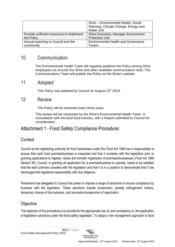|                                           | Shire - Environmental Health, Social<br>Planning, Climate Change, Energy and<br><b>Water Unit</b> |
|-------------------------------------------|---------------------------------------------------------------------------------------------------|
| Provide sufficient resources to implement | Shire Executive, Manager Environment                                                              |
| the Policy                                | <b>Protection Unit</b>                                                                            |
| Annual reporting to Council and the       | <b>Environmental Health and Governance</b>                                                        |
| community                                 | ⊺eams                                                                                             |

## <span id="page-12-0"></span>10 Communication

The Environmental Health Team will regularly publicise the Policy among Shire employees via Around Our Shire and other available communication tools. The Communications Team will publish the Policy on the Shire's website.

### 11 Adopted

<span id="page-12-1"></span>This Policy was adopted by Council on August 13<sup>th</sup> 2019.

#### <span id="page-12-2"></span>12 Review

The Policy will be reviewed every three years.

<span id="page-12-3"></span>This review will be conducted by the Shire's Environmental Health Team, in consultation with the local food industry, with a Report submitted to Council for consideration

## Attachment 1 - Food Safety Compliance Procedure:

#### **Context**

Council as the registering authority for food businesses under the *Food Act 1984* has a responsibility to ensure that each food premise/business is inspected and that it complies with the legislation prior to granting applications to register, renew and transfer registration of premises/businesses (*Food Act 1984* Section 39). Council, in granting an application for a premise/business to operate, needs to be satisfied that the each premise complies with the legislation and that it is in a position to demonstrate that it has discharged this legislative responsibility with due diligence.

Parliament has delegated to Council the power to impose a range of sanctions to ensure compliance by business with the legislation. These sanctions include prosecution, penalty infringement notices, temporary closure of the business, and revocation/suspension of registration.

#### **Objective**

The objective of this procedure is to provide for the appropriate use of, and consistency in, the application of legislative sanctions under the food safety legislation. To adopt a risk management approach to food



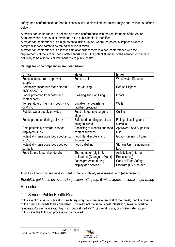safety, non-conformances at food businesses will be classified into minor, major and critical as defined below –

A *critical non-conformance* is defined as a non-conformance with the requirements of the Act or Standard where a serious or imminent risk to public health is identified.

A *major non-conformance* is a high potential risk situation, where the potential impact is likely to compromise food safety if no remedial action is taken.

A *minor non-conformance* is a low risk situation where there is a non-conformance with the requirements of the Act or Food Safety Standards but the potential impact of the non-conformance is not likely to be a serious or imminent risk to public health.

#### **Ratings for non-compliances are listed below:**

| <b>Critical</b>                                                              | Major                                                   | <b>Minor</b>                                 |
|------------------------------------------------------------------------------|---------------------------------------------------------|----------------------------------------------|
| Foods sourced from approved<br>suppliers                                     | Food recalls                                            | Wastewater Disposal                          |
| Potentially hazardous foods stored<br>$<$ 5 $^{\circ}$ C or >60 $^{\circ}$ C | Date Marking                                            | Refuse Disposal                              |
| Foods protected from pests and<br>contaminants                               | <b>Cleaning and Sanitising</b>                          | Floors                                       |
| Temperature of high-risk foods <5°C<br>or $-15^{\circ}$ C                    | Suitable hand-washing<br>facilities provided            | Walls                                        |
| Potable water supply provided                                                | Food allergens (change to<br>Major)                     | Ceiling                                      |
| Foods protected during delivery                                              | Safe food handling practices<br>being followed          | Fittings, flashings and<br>services          |
| Cold potentially hazardous foods<br>displayed $\leq 5^{\circ}$ C             | Sanitising of utensils and food<br>contact surfaces     | <b>Approved Food Suppliers</b><br>List       |
| Potentially hazardous foods cooked to<br>$>75^{\circ}$ C                     | <b>Food Handler Skills and</b><br>Knowledge             | <b>Goods Receiving Form</b>                  |
| Potentially hazardous foods cooled<br>correctly                              | Food Labelling                                          | Storage Unit Temperature<br>Log              |
| <b>Food Safety Supervisor details</b>                                        | Thermometer (digital &<br>calibrated) (Change to Major) | Activity Log (Internal<br>Process Log)       |
|                                                                              | Foods protected during<br>display and service           | Copy of Food Safety<br>Program (FSP) on-site |

A full list of non-compliances is included in the Food Safety Assessment Form (Attachment 3)

*Establish guidance on overall inspection rating e.g. 5 minor items = overall major rating*

#### **Procedure**

## 1. Serious Public Health Risk

In the event of a serious threat to health requiring the immediate removal of the threat, then the closure of the premises needs to be considered. This may include serious pest infestation, sewage overflow, refrigerator/power failure with high-risk foods stored >5ºC for over 4 hours, or unsafe water supply In this case the following process will be initiated:

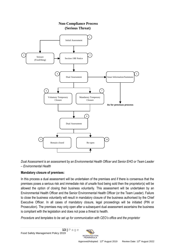

*Dual Assessment is an assessment by an Environmental Health Officer and Senior EHO or Team Leader – Environmental Health*

#### **Mandatory closure of premises:**

In this process a dual assessment will be undertaken of the premises and if there is consensus that the premises poses a serious risk and immediate risk of unsafe food being sold then the proprietor(s) will be allowed the option of closing their business voluntarily. This assessment will be undertaken by an Environmental Health Officer and the Senior Environmental Health Officer (or the Team Leader). Failure to close the business voluntarily will result in mandatory closure of the business authorised by the Chief Executive Officer. In all cases of mandatory closure, legal proceedings will be initiated (PIN or Prosecution). The premises may only open after a subsequent dual assessment ascertains the business is compliant with the legislation and does not pose a threat to health.

*Procedure and templates to be set up for communication with CEO's office and the proprietor*

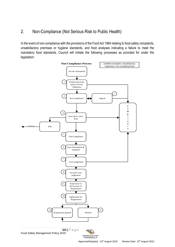#### 2. Non-Compliance (Not Serious Risk to Public Health)

In the event of non-compliance with the provisions of the Food Act 1984 relating to food safety complaints, unsatisfactory premises or hygiene standards, and food analyses indicating a failure to meet the mandatory food standards, Council will initiate the following processes as provided for under the legislation:

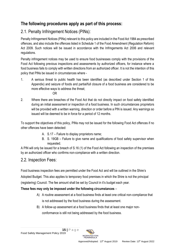## **The following procedures apply as part of this process:**

# 2.1. Penalty Infringement Notices (PINs):

Penalty Infringement Notices (PINs) relevant to this policy are included in the Food Act 1984 as prescribed offences, and also include the offences listed in Schedule 1 of the Food Amendment (Regulation Reform) Act 2009. Such notices will be issued in accordance with the Infringements Act 2006 and relevant regulations.

Penalty infringement notices may be used to ensure food businesses comply with the provisions of the Food Act following previous inspections and assessments by authorized officers, for instance where a food business fails to comply with written directions from an authorized officer. It is not the intention of this policy that PINs be issued in circumstances where -

1. A serious threat to public health has been identified (as described under Section 1 of this Appendix) and seizure of foods and partial/full closure of a food business are considered to be more effective ways to address the threat;

**OR** STREET STREET AND TO BE SERVED AS A STREET AND THE STREET AND THE STREET AND THE STREET AND THE STREET AS

2. Where there are breaches of the Food Act that do not directly impact on food safety identified during an initial assessment or inspection of a food business. In such circumstances proprietors will be provided with a written warning, direction or order before a PIN is issued. Any warnings so issued will be deemed to be in force for a period of 12 months.

To support the objectives of this policy, PINs may not be issued for the following Food Act offences if no other offences have been detected:

- A. S.17 Failure to display proprietors name;
- B. S. 19GB Failure to give name and qualifications of food safety supervisor when requested.

A PIN will only be issued for a breach of S.16 (1) of the Food Act following an inspection of the premises by an authorized officer who confirms non-compliance with a written direction.

## 2.2. Inspection Fees:

Food business inspection fees are permitted under the Food Act and will be outlined in the Shire's

Adopted Budget. This also applies to temporary food premises in which the Shire is not the principal (registering) Council. The fee amount shall be set by Council in it's budget each year.

#### **These fees may only be imposed under the following circumstances** –

- A) A routine assessment at a food business finds at least one critical non-compliance that is not addressed by the food business during the assessment.
- B) A follow-up assessment at a food business finds that at least one major nonconformance is still not being addressed by the food business.

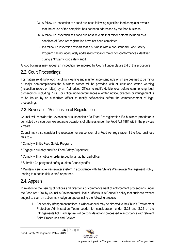- C) A follow up inspection at a food business following a justified food complaint reveals that the cause of the complaint has not been addressed by the food business.
- D) A follow up inspection at a food business reveals that minor defects included as a condition of Food Act registration have not been completed.
- E) If a follow up inspection reveals that a business with a non-standard Food Safety Program has not adequately addressed critical or major non-conformances identified during a 3 rd party food safety audit.

A food business may appeal an inspection fee imposed by Council under clause 2.4 of this procedure.

## 2.2. Court Proceedings:

For matters relating to food handling, cleaning and maintenance standards which are deemed to be minor or major non-compliances the business owner will be provided with at least one written warning (inspection report or letter) by an Authorised Officer to rectify deficiencies before commencing legal proceedings, including PINs. For critical non-conformances a written notice, direction or infringement is to be issued by an authorized officer to rectify deficiencies before the commencement of legal proceedings.

## 2.3. Revocation/Suspension of Registration:

Council will consider the revocation or suspension of a Food Act registration if a business proprietor is convicted by a court on two separate occasions of offences under the Food Act 1984 within the previous 2 years.

Council may also consider the revocation or suspension of a Food Act registration if the food business fails to –

- \* Comply with it's Food Safety Program;
- \* Engage a suitably qualified Food Safety Supervisor;
- \* Comply with a notice or order issued by an authorized officer;
- \* Submit a 3rd party food safety audit to Council;and/or

\* Maintain a suitable wastewater system in accordance with the Shire's Wastewater Management Policy, leading to a health risk to staff or patrons.

## 2.4. Appeals

In relation to the issuing of notices and directions or commencement of enforcement proceedings under the Food Act 1984 by Council's Environmental Health Officers, it is Council's policy that business owners subject to such an action may lodge an appeal using the following process –

1. For penalty infringement notices, a written appeal may be directed to the Shire's Environment Protection Administration Team Leader for consideration under S.22 and S.24 of the Infringements Act. Each appeal will be considered and processed in accordance with relevant Shire Procedures and Policies.

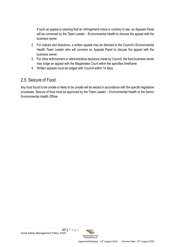If such an appeal is claiming that an infringement notice is contrary to law, an Appeals Panel will be convened by the Team Leader – Environmental Health to discuss the appeal with the business owner.

- 2. For notices and directions, a written appeal may be directed to the Council's Environmental Health Team Leader who will convene an Appeals Panel to discuss the appeal with the business owner.
- 3. For other enforcement or administrative decisions made by Council, the food business owner may lodge an appeal with the Magistrates Court within the specified timeframe
- 4. Written appeals must be lodged with Council within 14 days.

#### 2.5. Seizure of Food:

Any food found to be unsafe or likely to be unsafe will be seized in accordance with the specific legislative processes. Seizure of food must be approved by the Team Leader – Environmental Health or the Senior Environmental Health Officer.

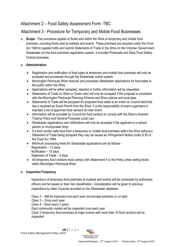## Attachment 2 – Food Safety Assessment Form -TBC

## Attachment 3 - Procedure for Temporary and Mobile Food Businesses

**1. Scope** - This procedure applies to foods sold within the Shire at temporary and mobile food premises, including foods sold at markets and events. These premises are required under the *Food Act 1984* to register/notify and submit Statements of Trade to the Shire on the Victorian Government Streatrader on-line food premises registration system. It includes Primesafe and Dairy Food Safety Victoria licensees.

#### **2. Administration**

- Registration and notification of food sales at temporary and mobile food premises will only be accepted and processed through the Streatrader online system.
- Mornington Peninsula Shire receives and processes Streatrader applications for food sales to the public within the Shire.
- Applications will be either accepted, rejected or further information will be requested.
- Statements of Trade on Shire or Crown land will only be accepted if the proposal is consistent with the Mornington Peninsula Planning Scheme and Shire polices and local laws.
- Statements of Trade will be accepted for proposed food sales at an event on Council land that has a received an Event Permit from the Shire. It is the responsibility of event organisers to maintain a list of approved food vendors for their event.
- Information will be provided by Council for food vendors to comply with the Shire's Itinerant Trading Policy and General Purposes Local Law.
- Streatrader registrations and notifications will only be accepted if the applicant is a natural person or incorporated body.
- If a food vendor sells food from a temporary or mobile food premises within the Shire without a Statement of Trade being accepted they may be issued an Infringement Notice under S.35 of the *Food Act 1984*.
- Minimum processing times for Streatrader applications are as follows -Registration – 12 days Notification – 10 days Statement of Trade – 5 days
- All temporary food vendors must comply with Attachment 5 to the Policy when selling foods within Mornington Peninsula Shire.

#### **3. Inspection Frequency**

Inspections of temporary food premises at markets and events will be conducted by authorised officers and be based on their risk classification. Consideration will be given to previous inspections by other Councils recorded on the Streatrader database.

*Class 2 – Will be inspected one each year (at principal premises or on-site)*

*Class 3 – Once each year*

*Class 4 - Once every 2 years*

*Each community market will be inspected once each year*

*Class 2 temporary food premises at major events with more than 10 food vendors will be inspected*

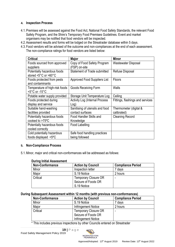#### **4. Inspection Process**

- 4.1.Premises will be assessed against the Food Act, National Food Safety Standards, the relevant Food Safety Program, and the Shire's Temporary Food Premises Guidelines. Event and market organisers may be notified that food vendors will be inspected.
- 4.2.Assessment results and forms will be lodged on the Streatrader database within 5 days.
- 4.3.Food vendors will be advised of the outcome and non-compliances at the end of each assessment. The non-compliance ratings for food vendors are listed below:

| <b>Critical</b>                                     | <b>Major</b>                                        | <b>Minor</b>                          |
|-----------------------------------------------------|-----------------------------------------------------|---------------------------------------|
| Foods sourced from approved<br>suppliers            | Copy of Food Safety Program<br>(FSP) on-site        | Wastewater Disposal                   |
| Potentially hazardous foods<br>stored <5°C or >60°C | Statement of Trade submitted                        | Refuse Disposal                       |
| Foods protected from pests<br>and contaminants      | <b>Approved Food Suppliers List</b>                 | <b>Floors</b>                         |
| Temperature of high-risk foods<br>$<$ 5°C or -15°C  | Goods Receiving Form                                | Walls                                 |
| Potable water supply provided                       | Storage Unit Temperature Log                        | Ceiling                               |
| Foods protected during<br>display and service       | <b>Activity Log (Internal Process)</b><br>Log)      | Fittings, flashings and services      |
| Suitable hand-washing<br>facilities provided        | Sanitising of utensils and food<br>contact surfaces | Thermometer (digital &<br>calibrated) |
| Potentially hazardous foods<br>cooked to >75°C      | Food Handler Skills and<br>Knowledge                | <b>Cleaning Record</b>                |
| Potentially hazardous foods<br>cooled correctly     | Food Labelling                                      |                                       |
| Cold potentially hazardous<br>foods displayed <5°C  | Safe food handling practices<br>being followed      |                                       |

#### **5. Non-Compliance Process**

5.1.Minor, major and critical non-conformances will be addressed as follows:

| During Initial Assessment |                             |                          |  |
|---------------------------|-----------------------------|--------------------------|--|
| <b>Non-Conformance</b>    | <b>Action by Council</b>    | <b>Compliance Period</b> |  |
| Minor                     | Inspection letter           | 7 days                   |  |
| Major                     | S.19 Notice                 | 2 hours                  |  |
| Critical                  | <b>Temporary Closure OR</b> | ۰                        |  |
|                           | Seizure of Foods OR         |                          |  |
|                           | S.19 Notice                 |                          |  |

#### **During Initial Assessment**

#### **During Subsequent Assessment within 12 months (with previous non-conformances)**

| <b>Non-Conformance</b> | <b>Action by Council</b>    | <b>Compliance Period</b> |
|------------------------|-----------------------------|--------------------------|
| Minor                  | S.19 Notice                 | ' davs                   |
| Major                  | Infringement Notice         | 2 hours                  |
| Critical               | <b>Temporary Closure OR</b> |                          |
|                        | Seizure of Foods OR         |                          |
|                        | Infringement Notice         |                          |

\* This includes previous inspections by other Councils entered on Streatrader